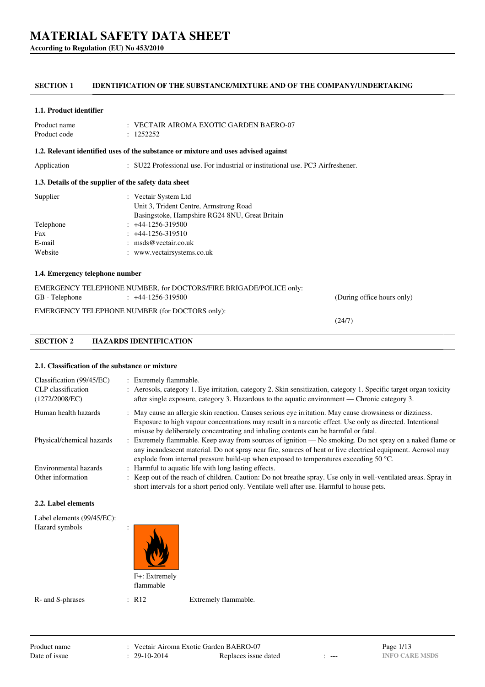**According to Regulation (EU) No 453/2010**

# **SECTION 1 IDENTIFICATION OF THE SUBSTANCE/MIXTURE AND OF THE COMPANY/UNDERTAKING**

#### **1.1. Product identifier**

| Product name | $\therefore$ VECTAIR AIROMA EXOTIC GARDEN BAERO-07 |
|--------------|----------------------------------------------------|
| Product code | : 1252252                                          |

#### **1.2. Relevant identified uses of the substance or mixture and uses advised against**

Application : SU22 Professional use. For industrial or institutional use. PC3 Airfreshener.

## **1.3. Details of the supplier of the safety data sheet**

| Supplier  | : Vectair System Ltd                           |
|-----------|------------------------------------------------|
|           | Unit 3, Trident Centre, Armstrong Road         |
|           | Basingstoke, Hampshire RG24 8NU, Great Britain |
| Telephone | $: +44-1256-319500$                            |
| Fax       | $: +44-1256-319510$                            |
| E-mail    | : $\text{msds@vector}$ .                       |
| Website   | : www.vectairsystems.co.uk                     |
|           |                                                |

## **1.4. Emergency telephone number**

|                | EMERGENCY TELEPHONE NUMBER, for DOCTORS/FIRE BRIGADE/POLICE only: |                            |
|----------------|-------------------------------------------------------------------|----------------------------|
| GB - Telephone | $\div$ +44-1256-319500                                            | (During office hours only) |

EMERGENCY TELEPHONE NUMBER (for DOCTORS only):

(24/7)

# **SECTION 2 HAZARDS IDENTIFICATION**

## **2.1. Classification of the substance or mixture**

| Classification (99/45/EC)<br>CLP classification<br>(1272/2008/EC) | : Extremely flammable.<br>: Aerosols, category 1. Eye irritation, category 2. Skin sensitization, category 1. Specific target organ toxicity<br>after single exposure, category 3. Hazardous to the aquatic environment — Chronic category 3.                                                                   |
|-------------------------------------------------------------------|-----------------------------------------------------------------------------------------------------------------------------------------------------------------------------------------------------------------------------------------------------------------------------------------------------------------|
| Human health hazards                                              | : May cause an allergic skin reaction. Causes serious eye irritation. May cause drowsiness or dizziness.<br>Exposure to high vapour concentrations may result in a narcotic effect. Use only as directed. Intentional                                                                                           |
| Physical/chemical hazards                                         | misuse by deliberately concentrating and inhaling contents can be harmful or fatal.<br>: Extremely flammable. Keep away from sources of ignition — No smoking. Do not spray on a naked flame or<br>any incandescent material. Do not spray near fire, sources of heat or live electrical equipment. Aerosol may |
| Environmental hazards                                             | explode from internal pressure build-up when exposed to temperatures exceeding 50 $^{\circ}$ C.<br>: Harmful to aquatic life with long lasting effects.                                                                                                                                                         |
| Other information                                                 | : Keep out of the reach of children. Caution: Do not breathe spray. Use only in well-ventilated areas. Spray in<br>short intervals for a short period only. Ventilate well after use. Harmful to house pets.                                                                                                    |

#### **2.2. Label elements**

| Label elements (99/45/EC):<br>Hazard symbols | ٠<br>$\cdot$               |  |
|----------------------------------------------|----------------------------|--|
|                                              | F+: Extremely<br>flammable |  |

R- and S-phrases : R12 Extremely flammable.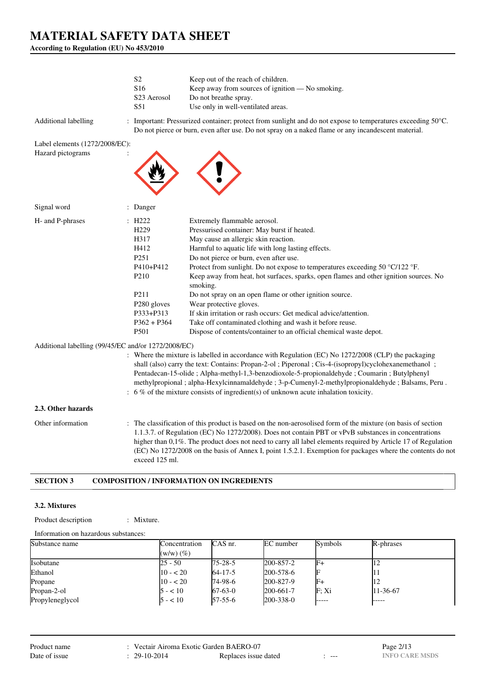**According to Regulation (EU) No 453/2010**

|                                                                         | S <sub>2</sub><br>S <sub>16</sub><br>S <sub>23</sub> Aerosol<br>S51                                                                                                      | Keep out of the reach of children.<br>Keep away from sources of ignition — No smoking.<br>Do not breathe spray.<br>Use only in well-ventilated areas.                                                                                                                                                                                                                                                                                                                                                                                                                                                                                                                                                                                                                                                       |
|-------------------------------------------------------------------------|--------------------------------------------------------------------------------------------------------------------------------------------------------------------------|-------------------------------------------------------------------------------------------------------------------------------------------------------------------------------------------------------------------------------------------------------------------------------------------------------------------------------------------------------------------------------------------------------------------------------------------------------------------------------------------------------------------------------------------------------------------------------------------------------------------------------------------------------------------------------------------------------------------------------------------------------------------------------------------------------------|
| Additional labelling                                                    |                                                                                                                                                                          | : Important: Pressurized container; protect from sunlight and do not expose to temperatures exceeding $50^{\circ}$ C.<br>Do not pierce or burn, even after use. Do not spray on a naked flame or any incandescent material.                                                                                                                                                                                                                                                                                                                                                                                                                                                                                                                                                                                 |
| Label elements (1272/2008/EC):                                          |                                                                                                                                                                          |                                                                                                                                                                                                                                                                                                                                                                                                                                                                                                                                                                                                                                                                                                                                                                                                             |
| Hazard pictograms                                                       |                                                                                                                                                                          |                                                                                                                                                                                                                                                                                                                                                                                                                                                                                                                                                                                                                                                                                                                                                                                                             |
| Signal word                                                             | : Danger                                                                                                                                                                 |                                                                                                                                                                                                                                                                                                                                                                                                                                                                                                                                                                                                                                                                                                                                                                                                             |
| H- and P-phrases<br>Additional labelling (99/45/EC and/or 1272/2008/EC) | : H222<br>H <sub>229</sub><br>H317<br>H412<br>P <sub>251</sub><br>P410+P412<br>P <sub>210</sub><br>P <sub>211</sub><br>P280 gloves<br>P333+P313<br>$P362 + P364$<br>P501 | Extremely flammable aerosol.<br>Pressurised container: May burst if heated.<br>May cause an allergic skin reaction.<br>Harmful to aquatic life with long lasting effects.<br>Do not pierce or burn, even after use.<br>Protect from sunlight. Do not expose to temperatures exceeding 50 °C/122 °F.<br>Keep away from heat, hot surfaces, sparks, open flames and other ignition sources. No<br>smoking.<br>Do not spray on an open flame or other ignition source.<br>Wear protective gloves.<br>If skin irritation or rash occurs: Get medical advice/attention.<br>Take off contaminated clothing and wash it before reuse.<br>Dispose of contents/container to an official chemical waste depot.<br>: Where the mixture is labelled in accordance with Regulation (EC) No 1272/2008 (CLP) the packaging |
|                                                                         |                                                                                                                                                                          | shall (also) carry the text: Contains: Propan-2-ol ; Piperonal ; Cis-4-(isopropyl)cyclohexanemethanol ;<br>Pentadecan-15-olide; Alpha-methyl-1,3-benzodioxole-5-propionaldehyde; Coumarin; Butylphenyl<br>methylpropional ; alpha-Hexylcinnamaldehyde ; 3-p-Cumenyl-2-methylpropionaldehyde ; Balsams, Peru.<br>: 6 % of the mixture consists of ingredient(s) of unknown acute inhalation toxicity.                                                                                                                                                                                                                                                                                                                                                                                                        |
| 2.3. Other hazards                                                      |                                                                                                                                                                          |                                                                                                                                                                                                                                                                                                                                                                                                                                                                                                                                                                                                                                                                                                                                                                                                             |
| Other information                                                       | exceed 125 ml.                                                                                                                                                           | : The classification of this product is based on the non-aerosolised form of the mixture (on basis of section<br>1.1.3.7. of Regulation (EC) No 1272/2008). Does not contain PBT or vPvB substances in concentrations<br>higher than 0,1%. The product does not need to carry all label elements required by Article 17 of Regulation<br>(EC) No 1272/2008 on the basis of Annex I, point 1.5.2.1. Exemption for packages where the contents do not                                                                                                                                                                                                                                                                                                                                                         |

# **SECTION 3 COMPOSITION / INFORMATION ON INGREDIENTS**

## **3.2. Mixtures**

Product description : Mixture.

| Information on hazardous substances: |                                 |                |                 |         |           |
|--------------------------------------|---------------------------------|----------------|-----------------|---------|-----------|
| Substance name                       | Concentration<br>$(w/w)$ $(\%)$ | CAS nr.        | EC number       | Symbols | R-phrases |
| Isobutane                            | 25 - 50                         | $175 - 28 - 5$ | 200-857-2       |         |           |
| Ethanol                              | $10 - 520$                      | $64 - 17 - 5$  | 200-578-6       |         |           |
| Propane                              | $10 - 20$                       | 74-98-6        | 200-827-9       |         | 12        |
| Propan-2-ol                          | $5 - 10$                        | $67-63-0$      | 200-661-7       | F: Xi   | 11-36-67  |
| Propyleneglycol                      | $5 - 10$                        | $157 - 55 - 6$ | $200 - 338 - 0$ |         |           |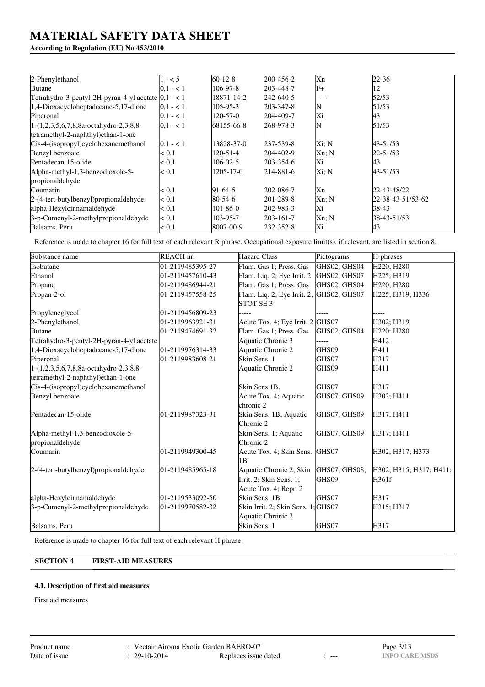# **According to Regulation (EU) No 453/2010**

| 2-Phenylethanol                                         | $1 - 5$       | $60 - 12 - 8$ | 200-456-2 | Xn    | $22 - 36$         |
|---------------------------------------------------------|---------------|---------------|-----------|-------|-------------------|
| <b>Butane</b>                                           | $0.1 - 1$     | 106-97-8      | 203-448-7 | $F+$  | 12                |
| Tetrahydro-3-pentyl-2H-pyran-4-yl acetate $ 0,1 $ - < 1 |               | 18871-14-2    | 242-640-5 | ----- | 52/53             |
| 1,4-Dioxacycloheptadecane-5,17-dione                    | $ 0,1 - 1 $   | 105-95-3      | 203-347-8 | N     | 51/53             |
| Piperonal                                               | $0.1 - 1$     | 120-57-0      | 204-409-7 | Xi    | 43                |
| $1-(1,2,3,5,6,7,8,8a-octahydro-2,3,8,8-$                | $0.1 - 1$     | 68155-66-8    | 268-978-3 |       | 51/53             |
| tetramethyl-2-naphthyl)ethan-1-one                      |               |               |           |       |                   |
| Cis-4-(isopropyl)cyclohexanemethanol                    | $0.1 - 1$     | 13828-37-0    | 237-539-8 | Xi: N | 43-51/53          |
| Benzyl benzoate                                         | < 0.1         | 120-51-4      | 204-402-9 | Xn; N | 22-51/53          |
| Pentadecan-15-olide                                     | < 0.1         | 106-02-5      | 203-354-6 | Xi    | 43                |
| Alpha-methyl-1,3-benzodioxole-5-                        | < 0.1         | 1205-17-0     | 214-881-6 | Xi: N | 43-51/53          |
| propionaldehyde                                         |               |               |           |       |                   |
| Coumarin                                                | < 0.1         | $91-64-5$     | 202-086-7 | Xn    | 22-43-48/22       |
| 2-(4-tert-butylbenzyl) propional dehyde                 | $\approx 0.1$ | 80-54-6       | 201-289-8 | Xn; N | 22-38-43-51/53-62 |
| alpha-Hexylcinnamaldehyde                               | < 0.1         | 101-86-0      | 202-983-3 | Xi    | 38-43             |
| 3-p-Cumenyl-2-methylpropionaldehyde                     | $\approx 0.1$ | 103-95-7      | 203-161-7 | Xn; N | 38-43-51/53       |
| Balsams, Peru                                           | < 0.1         | 8007-00-9     | 232-352-8 | Xi    | 43                |

Reference is made to chapter 16 for full text of each relevant R phrase. Occupational exposure limit(s), if relevant, are listed in section 8.

| Substance name                            | REACH nr.        | <b>Hazard Class</b>                      | Pictograms    | H-phrases                           |
|-------------------------------------------|------------------|------------------------------------------|---------------|-------------------------------------|
| Isobutane                                 | 01-2119485395-27 | Flam. Gas 1; Press. Gas                  | GHS02; GHS04  | H220: H280                          |
| Ethanol                                   | 01-2119457610-43 | Flam. Liq. 2; Eye Irrit. 2               | GHS02; GHS07  | H225; H319                          |
| Propane                                   | 01-2119486944-21 | Flam. Gas 1; Press. Gas                  | GHS02; GHS04  | H220; H280                          |
| Propan-2-ol                               | 01-2119457558-25 | Flam. Liq. 2; Eye Irrit. 2; GHS02; GHS07 |               | H225; H319; H336                    |
|                                           |                  | STOT SE <sub>3</sub>                     |               |                                     |
| Propyleneglycol                           | 01-2119456809-23 |                                          |               |                                     |
| 2-Phenylethanol                           | 01-2119963921-31 | Acute Tox. 4; Eye Irrit. 2 GHS07         |               | H302; H319                          |
| <b>Butane</b>                             | 01-2119474691-32 | Flam. Gas 1; Press. Gas                  | GHS02; GHS04  | H <sub>220</sub> : H <sub>280</sub> |
| Tetrahydro-3-pentyl-2H-pyran-4-yl acetate |                  | Aquatic Chronic 3                        |               | H412                                |
| 1,4-Dioxacycloheptadecane-5,17-dione      | 01-2119976314-33 | Aquatic Chronic 2                        | GHS09         | H411                                |
| Piperonal                                 | 01-2119983608-21 | Skin Sens. 1                             | GHS07         | H317                                |
| 1-(1,2,3,5,6,7,8,8a-octahydro-2,3,8,8-    |                  | Aquatic Chronic 2                        | GHS09         | H411                                |
| tetramethyl-2-naphthyl)ethan-1-one        |                  |                                          |               |                                     |
| Cis-4-(isopropyl)cyclohexanemethanol      |                  | Skin Sens 1B.                            | GHS07         | H317                                |
| Benzyl benzoate                           |                  | Acute Tox. 4; Aquatic                    | GHS07; GHS09  | H302; H411                          |
|                                           |                  | chronic 2                                |               |                                     |
| Pentadecan-15-olide                       | 01-2119987323-31 | Skin Sens. 1B; Aquatic                   | GHS07; GHS09  | H317; H411                          |
|                                           |                  | Chronic 2                                |               |                                     |
| Alpha-methyl-1,3-benzodioxole-5-          |                  | Skin Sens. 1; Aquatic                    | GHS07; GHS09  | H317; H411                          |
| propionaldehyde                           |                  | Chronic 2                                |               |                                     |
| Coumarin                                  | 01-2119949300-45 | Acute Tox. 4; Skin Sens. GHS07           |               | H302; H317; H373                    |
|                                           |                  | 1B                                       |               |                                     |
| 2-(4-tert-butylbenzyl)propionaldehyde     | 01-2119485965-18 | Aquatic Chronic 2; Skin                  | GHS07; GHS08; | H302; H315; H317; H411;             |
|                                           |                  | Irrit. 2; Skin Sens. 1;                  | GHS09         | H361f                               |
|                                           |                  | Acute Tox. 4; Repr. 2                    |               |                                     |
| alpha-Hexylcinnamaldehyde                 | 01-2119533092-50 | Skin Sens. 1B                            | GHS07         | H317                                |
| 3-p-Cumenyl-2-methylpropionaldehyde       | 01-2119970582-32 | Skin Irrit. 2; Skin Sens. 1; GHS07       |               | H315; H317                          |
|                                           |                  | Aquatic Chronic 2                        |               |                                     |
| Balsams, Peru                             |                  | Skin Sens. 1                             | GHS07         | H317                                |

Reference is made to chapter 16 for full text of each relevant H phrase.

# **SECTION 4 FIRST-AID MEASURES**

# **4.1. Description of first aid measures**

First aid measures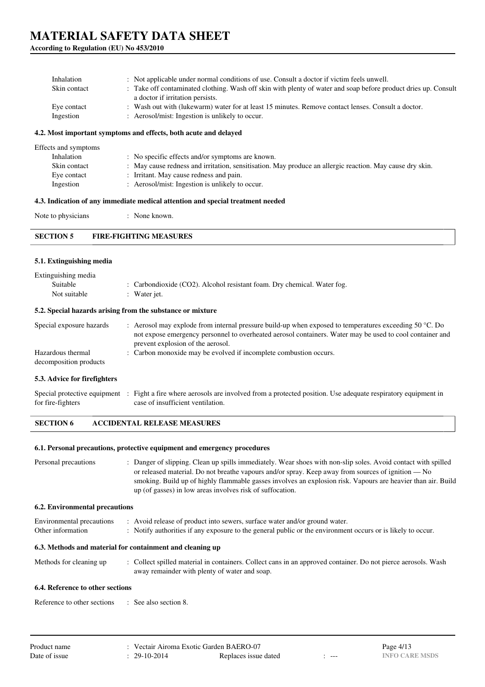**According to Regulation (EU) No 453/2010**

| Inhalation<br>Skin contact | : Not applicable under normal conditions of use. Consult a doctor if victim feels unwell.<br>: Take off contaminated clothing. Wash off skin with plenty of water and soap before product dries up. Consult<br>a doctor if irritation persists. |
|----------------------------|-------------------------------------------------------------------------------------------------------------------------------------------------------------------------------------------------------------------------------------------------|
| Eye contact                | : Wash out with (lukewarm) water for at least 15 minutes. Remove contact lenses. Consult a doctor.                                                                                                                                              |
| Ingestion                  | Aerosol/mist: Ingestion is unlikely to occur.                                                                                                                                                                                                   |

### **4.2. Most important symptoms and effects, both acute and delayed**

| Effects and symptoms |                                                                                                          |
|----------------------|----------------------------------------------------------------------------------------------------------|
| Inhalation           | : No specific effects and/or symptoms are known.                                                         |
| Skin contact         | : May cause redness and irritation, sensitisation. May produce an allergic reaction. May cause dry skin. |
| Eye contact          | : Irritant. May cause redness and pain.                                                                  |
| Ingestion            | : Aerosol/mist: Ingestion is unlikely to occur.                                                          |
|                      |                                                                                                          |

## **4.3. Indication of any immediate medical attention and special treatment needed**

Note to physicians : None known.

#### **5.1. Extinguishing media**

| Extinguishing media<br>Suitable<br>Not suitable | : Carbondioxide (CO2). Alcohol resistant foam. Dry chemical. Water fog.<br>: Water jet.                                                                                                                                                                           |
|-------------------------------------------------|-------------------------------------------------------------------------------------------------------------------------------------------------------------------------------------------------------------------------------------------------------------------|
|                                                 | 5.2. Special hazards arising from the substance or mixture                                                                                                                                                                                                        |
| Special exposure hazards                        | : Aerosol may explode from internal pressure build-up when exposed to temperatures exceeding 50 $^{\circ}$ C. Do<br>not expose emergency personnel to overheated aerosol containers. Water may be used to cool container and<br>prevent explosion of the aerosol. |
| Hazardous thermal<br>decomposition products     | : Carbon monoxide may be evolved if incomplete combustion occurs.                                                                                                                                                                                                 |
| 5.3. Advice for firefighters                    |                                                                                                                                                                                                                                                                   |
| for fire-fighters                               | Special protective equipment : Fight a fire where aerosols are involved from a protected position. Use adequate respiratory equipment in<br>case of insufficient ventilation.                                                                                     |

#### **SECTION 6 ACCIDENTAL RELEASE MEASURES**

#### **6.1. Personal precautions, protective equipment and emergency procedures**

| Personal precautions | : Danger of slipping. Clean up spills immediately. Wear shoes with non-slip soles. Avoid contact with spilled |
|----------------------|---------------------------------------------------------------------------------------------------------------|
|                      | or released material. Do not breathe vapours and/or spray. Keep away from sources of ignition — No            |
|                      | smoking. Build up of highly flammable gasses involves an explosion risk. Vapours are heavier than air. Build  |
|                      | up (of gasses) in low areas involves risk of suffocation.                                                     |

### **6.2. Environmental precautions**

| Environmental precautions | : Avoid release of product into sewers, surface water and/or ground water.                                  |
|---------------------------|-------------------------------------------------------------------------------------------------------------|
| Other information         | : Notify authorities if any exposure to the general public or the environment occurs or is likely to occur. |

### **6.3. Methods and material for containment and cleaning up**

| Methods for cleaning up | : Collect spilled material in containers. Collect cans in an approved container. Do not pierce aerosols. Wash |
|-------------------------|---------------------------------------------------------------------------------------------------------------|
|                         | away remainder with plenty of water and soap.                                                                 |

#### **6.4. Reference to other sections**

Reference to other sections : See also section 8.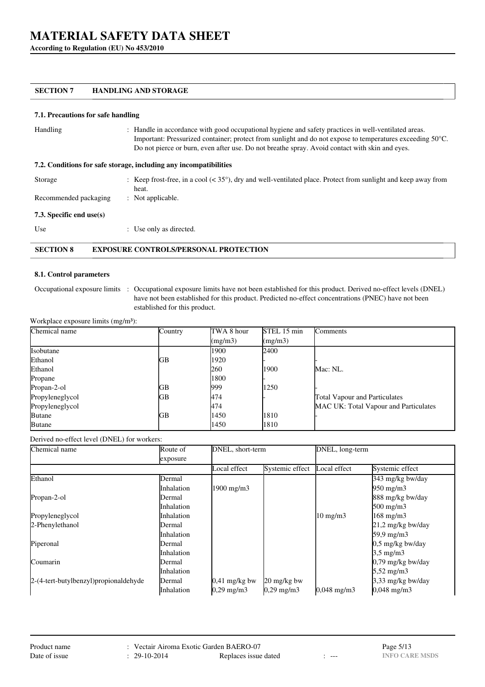**According to Regulation (EU) No 453/2010**

### **SECTION 7 HANDLING AND STORAGE**

### **7.1. Precautions for safe handling**

| Handling                    | : Handle in accordance with good occupational hygiene and safety practices in well-ventilated areas.<br>Important: Pressurized container; protect from sunlight and do not expose to temperatures exceeding 50 °C.<br>Do not pierce or burn, even after use. Do not breathe spray. Avoid contact with skin and eyes. |  |
|-----------------------------|----------------------------------------------------------------------------------------------------------------------------------------------------------------------------------------------------------------------------------------------------------------------------------------------------------------------|--|
|                             | 7.2. Conditions for safe storage, including any incompatibilities                                                                                                                                                                                                                                                    |  |
| Storage                     | : Keep frost-free, in a cool $(35^{\circ}),$ dry and well-ventilated place. Protect from sunlight and keep away from<br>heat.                                                                                                                                                                                        |  |
| Recommended packaging       | : Not applicable.                                                                                                                                                                                                                                                                                                    |  |
| 7.3. Specific end use $(s)$ |                                                                                                                                                                                                                                                                                                                      |  |
| Use                         | : Use only as directed.                                                                                                                                                                                                                                                                                              |  |

# **SECTION 8 EXPOSURE CONTROLS/PERSONAL PROTECTION**

#### **8.1. Control parameters**

Occupational exposure limits : Occupational exposure limits have not been established for this product. Derived no-effect levels (DNEL) have not been established for this product. Predicted no-effect concentrations (PNEC) have not been established for this product.

Workplace exposure limits (mg/m<sup>3</sup>):

| Chemical name   | Country | TWA 8 hour | STEL 15 min | Comments                              |
|-----------------|---------|------------|-------------|---------------------------------------|
|                 |         | (mg/m3)    | (mg/m3)     |                                       |
| Isobutane       |         | 1900       | 2400        |                                       |
| Ethanol         | GВ      | 1920       |             |                                       |
| Ethanol         |         | 260        | 1900        | Mac: NL.                              |
| Propane         |         | 1800       |             |                                       |
| Propan-2-ol     | GВ      | 999        | 1250        |                                       |
| Propyleneglycol | GВ      | 474        |             | <b>Total Vapour and Particulates</b>  |
| Propyleneglycol |         | 474        |             | MAC UK: Total Vapour and Particulates |
| <b>Butane</b>   | GВ      | 1450       | 1810        |                                       |
| <b>Butane</b>   |         | 1450       | 1810        |                                       |

Derived no-effect level (DNEL) for workers:

| Chemical name                           | Route of   | DNEL, short-term    |                       | DNEL, long-term        |                      |
|-----------------------------------------|------------|---------------------|-----------------------|------------------------|----------------------|
|                                         | exposure   |                     |                       |                        |                      |
|                                         |            | Local effect        | Systemic effect       | Local effect           | Systemic effect      |
| Ethanol                                 | Dermal     |                     |                       |                        | 343 mg/kg bw/day     |
|                                         | Inhalation | $1900 \text{ mg/m}$ |                       |                        | 950 mg/m3            |
| Propan-2-ol                             | Dermal     |                     |                       |                        | 888 mg/kg bw/day     |
|                                         | Inhalation |                     |                       |                        | $500 \text{ mg/m}$   |
| Propyleneglycol                         | Inhalation |                     |                       | $10 \text{ mg/m}$      | $168$ mg/m $3$       |
| 2-Phenylethanol                         | Dermal     |                     |                       |                        | 21,2 mg/kg bw/day    |
|                                         | Inhalation |                     |                       |                        | 59,9 mg/m3           |
| Piperonal                               | Dermal     |                     |                       |                        | $0.5$ mg/kg bw/day   |
|                                         | Inhalation |                     |                       |                        | $3.5 \text{ mg/m}$   |
| Coumarin                                | Dermal     |                     |                       |                        | 0,79 mg/kg bw/day    |
|                                         | Inhalation |                     |                       |                        | $5,52 \text{ mg/m}$  |
| 2-(4-tert-butylbenzyl) propional dehyde | Dermal     | $0.41$ mg/kg bw     | 20 mg/kg bw           |                        | 3,33 mg/kg bw/day    |
|                                         | Inhalation | $0,29 \text{ mg/m}$ | $0,29 \text{ mg/m}$ 3 | $0,048 \text{ mg/m}$ 3 | $0,048 \text{ mg/m}$ |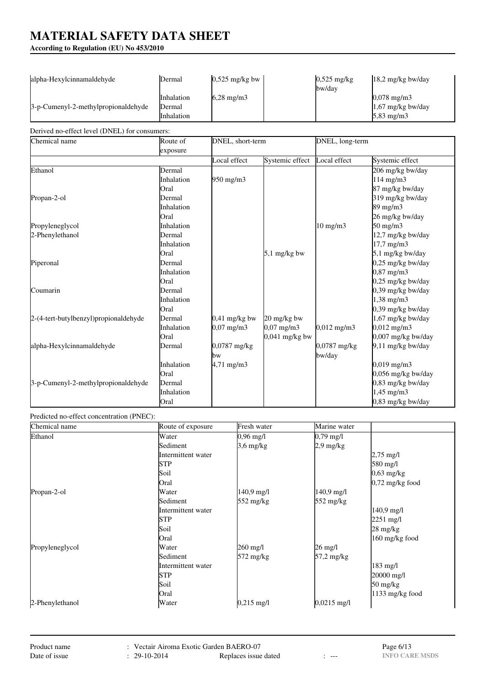**According to Regulation (EU) No 453/2010**

| alpha-Hexylcinnamaldehyde                     | Dermal                                     | $0,525$ mg/kg bw                     |                                                          | $0,525$ mg/kg<br>bw/day | 18,2 mg/kg bw/day                                                                   |
|-----------------------------------------------|--------------------------------------------|--------------------------------------|----------------------------------------------------------|-------------------------|-------------------------------------------------------------------------------------|
| 3-p-Cumenyl-2-methylpropionaldehyde           | Inhalation<br>Dermal<br>Inhalation         | $6,28$ mg/m3                         |                                                          |                         | $0,078$ mg/m3<br>1,67 mg/kg bw/day<br>5,83 mg/m3                                    |
| Derived no-effect level (DNEL) for consumers: |                                            |                                      |                                                          |                         |                                                                                     |
| Chemical name                                 | Route of<br>exposure                       | DNEL, short-term                     |                                                          | DNEL, long-term         |                                                                                     |
|                                               |                                            | Local effect                         | Systemic effect                                          | Local effect            | Systemic effect                                                                     |
| Ethanol                                       | Dermal<br>Inhalation<br>Oral               | 950 mg/m3                            |                                                          |                         | 206 mg/kg bw/day<br>114 mg/m3<br>87 mg/kg bw/day                                    |
| Propan-2-ol                                   | Dermal<br>Inhalation<br>Oral               |                                      |                                                          |                         | 319 mg/kg bw/day<br>89 mg/m3<br>26 mg/kg bw/day                                     |
| Propyleneglycol<br>2-Phenylethanol            | Inhalation<br>Dermal<br>Inhalation<br>Oral |                                      | $5,1$ mg/kg bw                                           | $10$ mg/m $3$           | $50 \text{ mg/m}$<br>12,7 mg/kg bw/day<br>$17,7 \text{ mg/m}$ 3<br>5,1 mg/kg bw/day |
| Piperonal                                     | Dermal<br>Inhalation<br>Oral               |                                      |                                                          |                         | $0,25$ mg/kg bw/day<br>$0,87$ mg/m $3$<br>0,25 mg/kg bw/day                         |
| Coumarin                                      | Dermal<br>Inhalation<br>Oral               |                                      |                                                          |                         | 0,39 mg/kg bw/day<br>$1,38 \text{ mg/m}$ 3<br>0,39 mg/kg bw/day                     |
| 2-(4-tert-butylbenzyl)propionaldehyde         | Dermal<br>Inhalation<br>Oral               | $0,41$ mg/kg bw<br>$0,07$ mg/m3      | 20 mg/kg bw<br>$0,07 \text{ mg/m}$ 3<br>$0,041$ mg/kg bw | $0,012 \text{ mg/m}$ 3  | 1,67 mg/kg bw/day<br>$0,012$ mg/m3<br>0,007 mg/kg bw/day                            |
| alpha-Hexylcinnamaldehyde                     | Dermal<br>Inhalation                       | $0,0787$ mg/kg<br>bw<br>$4,71$ mg/m3 |                                                          | 0,0787 mg/kg<br>bw/day  | 9,11 mg/kg bw/day<br>$0,019$ mg/m3                                                  |
| 3-p-Cumenyl-2-methylpropionaldehyde           | Oral<br>Dermal<br>Inhalation<br>Oral       |                                      |                                                          |                         | 0,056 mg/kg bw/day<br>0,83 mg/kg bw/day<br>$1,45$ mg/m $3$<br>0,83 mg/kg bw/day     |

# Predicted no-effect concentration (PNEC):

| Chemical name   | Route of exposure  | Fresh water          | Marine water        |                                  |
|-----------------|--------------------|----------------------|---------------------|----------------------------------|
| Ethanol         | Water              | $0,96 \text{ mg/l}$  | $0,79 \text{ mg/l}$ |                                  |
|                 | Sediment           | $3.6 \text{ mg/kg}$  | $2.9$ mg/kg         |                                  |
|                 | Intermittent water |                      |                     | $2,75 \text{ mg/l}$              |
|                 | <b>STP</b>         |                      |                     | 580 mg/l                         |
|                 | Soil               |                      |                     | $0,63$ mg/kg                     |
|                 | Oral               |                      |                     | $0,72$ mg/kg food                |
| Propan-2-ol     | Water              | $140.9 \text{ mg}/1$ | $140.9$ mg/l        |                                  |
|                 | Sediment           | $552 \text{ mg/kg}$  | $552 \text{ mg/kg}$ |                                  |
|                 | Intermittent water |                      |                     | 140,9 mg/l                       |
|                 | <b>STP</b>         |                      |                     | $2251 \text{ mg/l}$              |
|                 | Soil               |                      |                     | $28 \text{ mg/kg}$               |
|                 | Oral               |                      |                     | 160 mg/kg food                   |
| Propyleneglycol | Water              | 260 mg/l             | $26 \text{ mg/l}$   |                                  |
|                 | Sediment           | 572 mg/kg            | 57,2 mg/kg          |                                  |
|                 | Intermittent water |                      |                     | $183$ mg/l                       |
|                 | STP                |                      |                     | 20000 mg/l                       |
|                 | Soil               |                      |                     | $50 \frac{\text{mg}}{\text{kg}}$ |
|                 | Oral               |                      |                     | $1133$ mg/kg food                |
| 2-Phenylethanol | Water              | $0,215 \text{ mg/l}$ | 0,0215 mg/l         |                                  |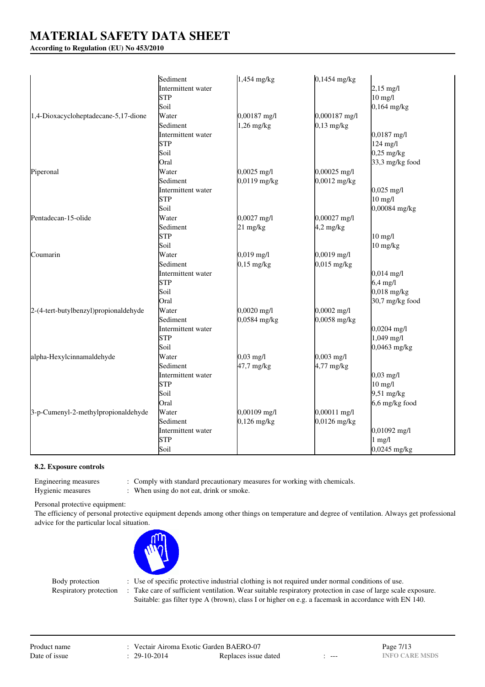## **According to Regulation (EU) No 453/2010**

|                                       | Sediment           | $1,454$ mg/kg       | $0,1454$ mg/kg |                       |
|---------------------------------------|--------------------|---------------------|----------------|-----------------------|
|                                       | Intermittent water |                     |                | $2,15 \text{ mg/l}$   |
|                                       | <b>STP</b>         |                     |                | $10$ mg/l             |
|                                       | Soil               |                     |                | $0,164$ mg/kg         |
| 1,4-Dioxacycloheptadecane-5,17-dione  | Water              | 0,00187 mg/l        | 0,000187 mg/l  |                       |
|                                       | Sediment           | $1,26$ mg/kg        | $0,13$ mg/kg   |                       |
|                                       | Intermittent water |                     |                | $0,0187$ mg/l         |
|                                       | <b>STP</b>         |                     |                | 124 mg/l              |
|                                       | Soil               |                     |                | $0,25$ mg/kg          |
|                                       | Oral               |                     |                | 33,3 mg/kg food       |
| Piperonal                             | Water              | $0,0025$ mg/l       | 0,00025 mg/l   |                       |
|                                       | Sediment           | $0,0119$ mg/kg      | $0,0012$ mg/kg |                       |
|                                       | Intermittent water |                     |                | $0,025 \text{ mg/l}$  |
|                                       | <b>STP</b>         |                     |                | $10$ mg/l             |
|                                       | Soil               |                     |                | $0,00084$ mg/kg       |
| Pentadecan-15-olide                   | Water              | $0,0027$ mg/l       | 0,00027 mg/l   |                       |
|                                       | Sediment           | $21 \text{ mg/kg}$  | $4,2$ mg/kg    |                       |
|                                       | <b>STP</b>         |                     |                | $10$ mg/l             |
|                                       | Soil               |                     |                | 10 mg/kg              |
| Coumarin                              | Water              | $0,019$ mg/l        | 0,0019 mg/l    |                       |
|                                       | Sediment           | $0,15$ mg/kg        | $0,015$ mg/kg  |                       |
|                                       | Intermittent water |                     |                | $0,014 \text{ mg/l}$  |
|                                       | <b>STP</b>         |                     |                | $6,4$ mg/l            |
|                                       | Soil               |                     |                | $0,018$ mg/kg         |
|                                       | Oral               |                     |                | 30,7 mg/kg food       |
| 2-(4-tert-butylbenzyl)propionaldehyde | Water              | $0,0020$ mg/l       | $0,0002$ mg/l  |                       |
|                                       | Sediment           | $0,0584$ mg/kg      | 0,0058 mg/kg   |                       |
|                                       | Intermittent water |                     |                | $0,0204 \text{ mg/l}$ |
|                                       | <b>STP</b>         |                     |                | $1,049$ mg/l          |
|                                       | Soil               |                     |                | $0,0463$ mg/kg        |
| alpha-Hexylcinnamaldehyde             | Water              | $0,03 \text{ mg/l}$ | $0,003$ mg/l   |                       |
|                                       | Sediment           | 47,7 mg/kg          | $4,77$ mg/kg   |                       |
|                                       | Intermittent water |                     |                | $0,03 \text{ mg/l}$   |
|                                       | <b>STP</b>         |                     |                | $10$ mg/l             |
|                                       | Soil               |                     |                | $9,51$ mg/kg          |
|                                       | Oral               |                     |                | $6,6$ mg/kg food      |
| 3-p-Cumenyl-2-methylpropionaldehyde   | Water              | 0,00109 mg/l        | 0,00011 mg/l   |                       |
|                                       | Sediment           | $0,126$ mg/kg       | 0,0126 mg/kg   |                       |
|                                       | Intermittent water |                     |                | $0,01092$ mg/l        |
|                                       | <b>STP</b>         |                     |                | $1$ mg/l              |
|                                       | Soil               |                     |                | $0,0245$ mg/kg        |

#### **8.2. Exposure controls**

Hygienic measures : When using do not eat, drink or smoke.

Engineering measures : Comply with standard precautionary measures for working with chemicals.

Personal protective equipment:

The efficiency of personal protective equipment depends among other things on temperature and degree of ventilation. Always get professional advice for the particular local situation.



Body protection : Use of specific protective industrial clothing is not required under normal conditions of use. Respiratory protection : Take care of sufficient ventilation. Wear suitable respiratory protection in case of large scale exposure. Suitable: gas filter type A (brown), class I or higher on e.g. a facemask in accordance with EN 140.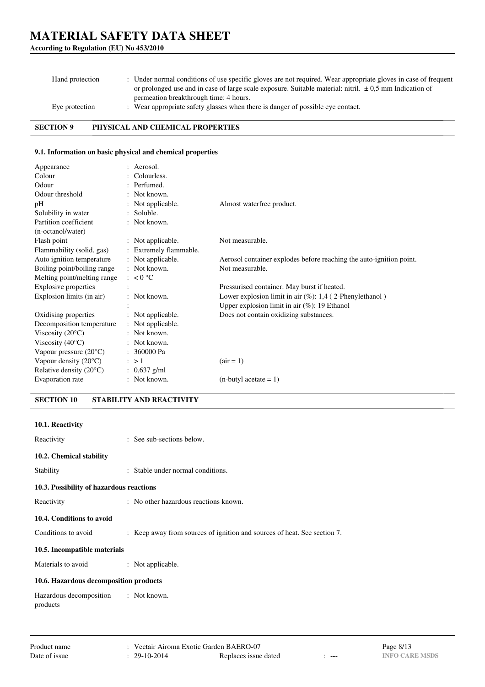## **According to Regulation (EU) No 453/2010**

| Hand protection | : Under normal conditions of use specific gloves are not required. Wear appropriate gloves in case of frequent<br>or prolonged use and in case of large scale exposure. Suitable material: nitril. $\pm 0.5$ mm Indication of |
|-----------------|-------------------------------------------------------------------------------------------------------------------------------------------------------------------------------------------------------------------------------|
|                 | permeation breakthrough time: 4 hours.                                                                                                                                                                                        |
| Eye protection  | : Wear appropriate safety glasses when there is danger of possible eye contact.                                                                                                                                               |

**SECTION 9 PHYSICAL AND CHEMICAL PROPERTIES**

### **9.1. Information on basic physical and chemical properties**

| Appearance                       | : Aerosol.             |                                                                     |
|----------------------------------|------------------------|---------------------------------------------------------------------|
| Colour                           | Colourless.            |                                                                     |
| Odour                            | : Perfumed.            |                                                                     |
| Odour threshold                  | $:$ Not known.         |                                                                     |
| pH                               | : Not applicable.      | Almost waterfree product.                                           |
| Solubility in water              | : Soluble.             |                                                                     |
| Partition coefficient            | : Not known.           |                                                                     |
| (n-octanol/water)                |                        |                                                                     |
| Flash point                      | : Not applicable.      | Not measurable.                                                     |
| Flammability (solid, gas)        | : Extremely flammable. |                                                                     |
| Auto ignition temperature        | : Not applicable.      | Aerosol container explodes before reaching the auto-ignition point. |
| Boiling point/boiling range      | $:$ Not known.         | Not measurable.                                                     |
| Melting point/melting range      | $\approx 0^{\circ}$ C  |                                                                     |
| <b>Explosive properties</b>      |                        | Pressurised container: May burst if heated.                         |
| Explosion limits (in air)        | : Not known.           | Lower explosion limit in air $(\%)$ : 1,4 (2-Phenylethanol)         |
|                                  |                        | Upper explosion limit in air $(\%)$ : 19 Ethanol                    |
| Oxidising properties             | : Not applicable.      | Does not contain oxidizing substances.                              |
| Decomposition temperature        | : Not applicable.      |                                                                     |
| Viscosity $(20^{\circ}C)$        | : Not known.           |                                                                     |
| Viscosity $(40^{\circ}C)$        | : Not known.           |                                                                     |
| Vapour pressure $(20^{\circ}C)$  | : 360000 Pa            |                                                                     |
| Vapour density $(20^{\circ}C)$   | $\therefore$ > 1       | $(air = 1)$                                                         |
| Relative density $(20^{\circ}C)$ | : $0.637$ g/ml         |                                                                     |
| Evaporation rate                 | : Not known.           | $(n$ -butyl acetate = 1)                                            |

**SECTION 10 STABILITY AND REACTIVITY**

| 10.1. Reactivity                                 |                                                                          |
|--------------------------------------------------|--------------------------------------------------------------------------|
| Reactivity                                       | : See sub-sections below.                                                |
| 10.2. Chemical stability                         |                                                                          |
| Stability                                        | : Stable under normal conditions.                                        |
| 10.3. Possibility of hazardous reactions         |                                                                          |
| Reactivity                                       | : No other hazardous reactions known.                                    |
| 10.4. Conditions to avoid                        |                                                                          |
| Conditions to avoid                              | : Keep away from sources of ignition and sources of heat. See section 7. |
| 10.5. Incompatible materials                     |                                                                          |
| Materials to avoid                               | : Not applicable.                                                        |
| 10.6. Hazardous decomposition products           |                                                                          |
| Hazardous decomposition : Not known.<br>products |                                                                          |

Replaces issue dated : ---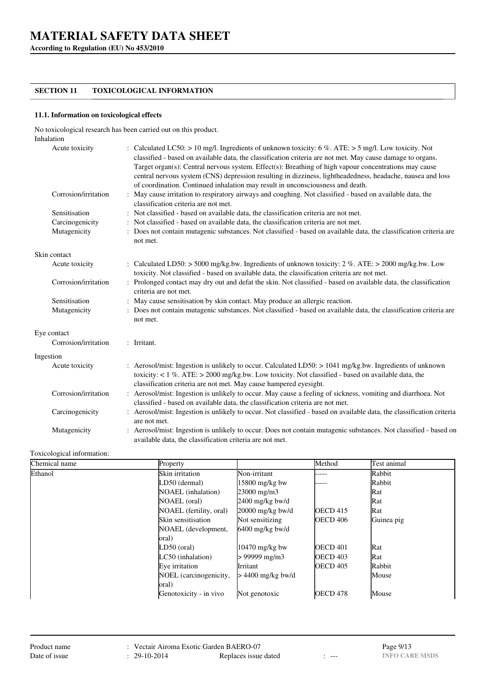**According to Regulation (EU) No 453/2010**

## **SECTION 11 TOXICOLOGICAL INFORMATION**

### **11.1. Information on toxicological effects**

No toxicological research has been carried out on this product. Inhalation

| Acute toxicity       | : Calculated LC50: > 10 mg/l. Ingredients of unknown toxicity: 6 %. ATE: > 5 mg/l. Low toxicity. Not<br>classified - based on available data, the classification criteria are not met. May cause damage to organs.<br>Target organ(s): Central nervous system. Effect(s): Breathing of high vapour concentrations may cause<br>central nervous system (CNS) depression resulting in dizziness, lightheadedness, headache, nausea and loss<br>of coordination. Continued inhalation may result in unconsciousness and death. |
|----------------------|-----------------------------------------------------------------------------------------------------------------------------------------------------------------------------------------------------------------------------------------------------------------------------------------------------------------------------------------------------------------------------------------------------------------------------------------------------------------------------------------------------------------------------|
| Corrosion/irritation | May cause irritation to respiratory airways and coughing. Not classified - based on available data, the<br>classification criteria are not met.                                                                                                                                                                                                                                                                                                                                                                             |
| Sensitisation        | : Not classified - based on available data, the classification criteria are not met.                                                                                                                                                                                                                                                                                                                                                                                                                                        |
| Carcinogenicity      | : Not classified - based on available data, the classification criteria are not met.                                                                                                                                                                                                                                                                                                                                                                                                                                        |
| Mutagenicity         | Does not contain mutagenic substances. Not classified - based on available data, the classification criteria are<br>not met.                                                                                                                                                                                                                                                                                                                                                                                                |
| Skin contact         |                                                                                                                                                                                                                                                                                                                                                                                                                                                                                                                             |
| Acute toxicity       | : Calculated LD50: > 5000 mg/kg.bw. Ingredients of unknown toxicity: $2\%$ . ATE: > 2000 mg/kg.bw. Low<br>toxicity. Not classified - based on available data, the classification criteria are not met.                                                                                                                                                                                                                                                                                                                      |
| Corrosion/irritation | Prolonged contact may dry out and defat the skin. Not classified - based on available data, the classification<br>criteria are not met.                                                                                                                                                                                                                                                                                                                                                                                     |
| Sensitisation        | : May cause sensitisation by skin contact. May produce an allergic reaction.                                                                                                                                                                                                                                                                                                                                                                                                                                                |
| Mutagenicity         | : Does not contain mutagenic substances. Not classified - based on available data, the classification criteria are<br>not met.                                                                                                                                                                                                                                                                                                                                                                                              |
| Eye contact          |                                                                                                                                                                                                                                                                                                                                                                                                                                                                                                                             |
| Corrosion/irritation | : Irritant.                                                                                                                                                                                                                                                                                                                                                                                                                                                                                                                 |
| Ingestion            |                                                                                                                                                                                                                                                                                                                                                                                                                                                                                                                             |
| Acute toxicity       | : Aerosol/mist: Ingestion is unlikely to occur. Calculated LD50: > 1041 mg/kg.bw. Ingredients of unknown<br>toxicity: < $1\%$ . ATE: > 2000 mg/kg.bw. Low toxicity. Not classified - based on available data, the<br>classification criteria are not met. May cause hampered eyesight.                                                                                                                                                                                                                                      |
| Corrosion/irritation | : Aerosol/mist: Ingestion is unlikely to occur. May cause a feeling of sickness, vomiting and diarrhoea. Not<br>classified - based on available data, the classification criteria are not met.                                                                                                                                                                                                                                                                                                                              |
| Carcinogenicity      | Aerosol/mist: Ingestion is unlikely to occur. Not classified - based on available data, the classification criteria<br>are not met.                                                                                                                                                                                                                                                                                                                                                                                         |
| Mutagenicity         | : Aerosol/mist: Ingestion is unlikely to occur. Does not contain mutagenic substances. Not classified - based on                                                                                                                                                                                                                                                                                                                                                                                                            |

#### Toxicological information:

| Chemical name | Property                  |                      | Method              | Test animal |
|---------------|---------------------------|----------------------|---------------------|-------------|
| Ethanol       | Skin irritation           | Non-irritant         |                     | Rabbit      |
|               | LD50 (dermal)             | 15800 mg/kg bw       | .                   | Rabbit      |
|               | <b>NOAEL</b> (inhalation) | $23000 \text{ mg/m}$ |                     | Rat         |
|               | NOAEL (oral)              | $2400$ mg/kg bw/d    |                     | Rat         |
|               | NOAEL (fertility, oral)   | $20000$ mg/kg bw/d   | OECD <sub>415</sub> | Rat         |
|               | Skin sensitisation        | Not sensitizing      | <b>OECD 406</b>     | Guinea pig  |
|               | NOAEL (development,       | $6400$ mg/kg bw/d    |                     |             |
|               | oral)                     |                      |                     |             |
|               | LD50 (oral)               | 10470 mg/kg bw       | <b>OECD 401</b>     | Rat         |
|               | $LC50$ (inhalation)       | > 99999 mg/m3        | <b>OECD 403</b>     | Rat         |
|               | Eve irritation            | Irritant             | <b>OECD 405</b>     | Rabbit      |
|               | NOEL (carcinogenicity,    | > 4400 mg/kg bw/d    |                     | Mouse       |
|               | oral)                     |                      |                     |             |
|               | Genotoxicity - in vivo    | Not genotoxic        | OECD <sub>478</sub> | Mouse       |

available data, the classification criteria are not met.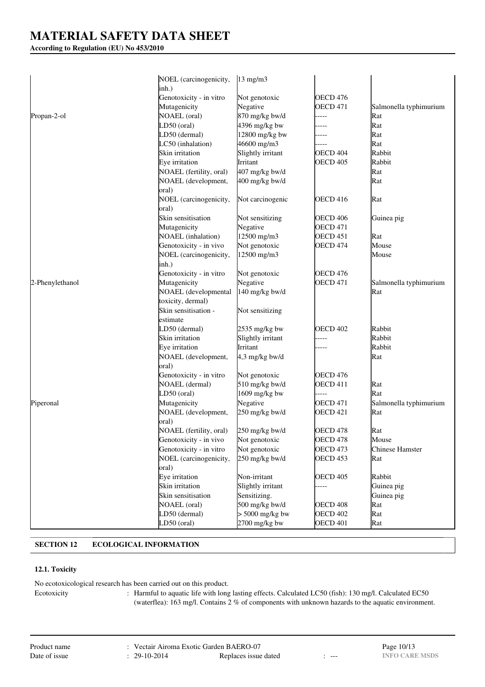## **According to Regulation (EU) No 453/2010**

|                 | NOEL (carcinogenicity,<br>inh.) | $13 \text{ mg/m}$ |                     |                        |
|-----------------|---------------------------------|-------------------|---------------------|------------------------|
|                 | Genotoxicity - in vitro         | Not genotoxic     | <b>OECD 476</b>     |                        |
|                 | Mutagenicity                    | Negative          | <b>OECD 471</b>     | Salmonella typhimurium |
|                 | <b>NOAEL</b> (oral)             | 870 mg/kg bw/d    |                     |                        |
| Propan-2-ol     |                                 |                   |                     | Rat<br>Rat             |
|                 | LD50 (oral)                     | 4396 mg/kg bw     |                     |                        |
|                 | LD50 (dermal)                   | 12800 mg/kg bw    |                     | Rat                    |
|                 | LC50 (inhalation)               | 46600 mg/m3       |                     | Rat                    |
|                 | Skin irritation                 | Slightly irritant | OECD <sub>404</sub> | Rabbit                 |
|                 | Eye irritation                  | Irritant          | <b>OECD 405</b>     | Rabbit                 |
|                 | NOAEL (fertility, oral)         | 407 mg/kg bw/d    |                     | Rat                    |
|                 | NOAEL (development,             | 400 mg/kg bw/d    |                     | Rat                    |
|                 | oral)                           |                   |                     |                        |
|                 | NOEL (carcinogenicity,          | Not carcinogenic  | <b>OECD 416</b>     | Rat                    |
|                 | oral)                           |                   |                     |                        |
|                 | Skin sensitisation              | Not sensitizing   | OECD 406            | Guinea pig             |
|                 | Mutagenicity                    | Negative          | <b>OECD 471</b>     |                        |
|                 | <b>NOAEL</b> (inhalation)       | 12500 mg/m3       | OECD 451            | Rat                    |
|                 | Genotoxicity - in vivo          | Not genotoxic     | <b>OECD 474</b>     | Mouse                  |
|                 | NOEL (carcinogenicity,          | 12500 mg/m3       |                     | Mouse                  |
|                 | inh.)                           |                   |                     |                        |
|                 | Genotoxicity - in vitro         | Not genotoxic     | OECD 476            |                        |
| 2-Phenylethanol | Mutagenicity                    | Negative          | <b>OECD 471</b>     | Salmonella typhimurium |
|                 | <b>NOAEL</b> (developmental     | 140 mg/kg bw/d    |                     | Rat                    |
|                 | toxicity, dermal)               |                   |                     |                        |
|                 | Skin sensitisation -            | Not sensitizing   |                     |                        |
|                 | estimate                        |                   |                     |                        |
|                 | LD50 (dermal)                   | 2535 mg/kg bw     | <b>OECD 402</b>     | Rabbit                 |
|                 | Skin irritation                 | Slightly irritant | ----                | Rabbit                 |
|                 |                                 | Irritant          |                     | Rabbit                 |
|                 | Eye irritation                  |                   |                     |                        |
|                 | NOAEL (development,             | 4,3 mg/kg bw/d    |                     | Rat                    |
|                 | oral)                           |                   |                     |                        |
|                 | Genotoxicity - in vitro         | Not genotoxic     | OECD 476            |                        |
|                 | <b>NOAEL</b> (dermal)           | 510 mg/kg bw/d    | OECD 411            | Rat                    |
|                 | LD50 (oral)                     | 1609 mg/kg bw     | ----                | Rat                    |
| Piperonal       | Mutagenicity                    | Negative          | <b>OECD 471</b>     | Salmonella typhimurium |
|                 | NOAEL (development,             | 250 mg/kg bw/d    | <b>OECD 421</b>     | Rat                    |
|                 | oral)                           |                   |                     |                        |
|                 | NOAEL (fertility, oral)         | 250 mg/kg bw/d    | OECD 478            | Rat                    |
|                 | Genotoxicity - in vivo          | Not genotoxic     | OECD 478            | Mouse                  |
|                 | Genotoxicity - in vitro         | Not genotoxic     | <b>OECD 473</b>     | Chinese Hamster        |
|                 | NOEL (carcinogenicity,          | 250 mg/kg bw/d    | OECD 453            | Rat                    |
|                 | oral)                           |                   |                     |                        |
|                 | Eye irritation                  | Non-irritant      | <b>OECD 405</b>     | Rabbit                 |
|                 | Skin irritation                 | Slightly irritant |                     | Guinea pig             |
|                 | Skin sensitisation              | Sensitizing.      |                     | Guinea pig             |
|                 | NOAEL (oral)                    | 500 mg/kg bw/d    | <b>OECD 408</b>     | Rat                    |
|                 | LD50 (dermal)                   | $> 5000$ mg/kg bw | <b>OECD 402</b>     | Rat                    |
|                 | LD50 (oral)                     | 2700 mg/kg bw     | <b>OECD 401</b>     | Rat                    |

# **SECTION 12 ECOLOGICAL INFORMATION**

## **12.1. Toxicity**

No ecotoxicological research has been carried out on this product.

Ecotoxicity : Harmful to aquatic life with long lasting effects. Calculated LC50 (fish): 130 mg/l. Calculated EC50 (waterflea): 163 mg/l. Contains 2 % of components with unknown hazards to the aquatic environment.

| Product name  |
|---------------|
| Date of issue |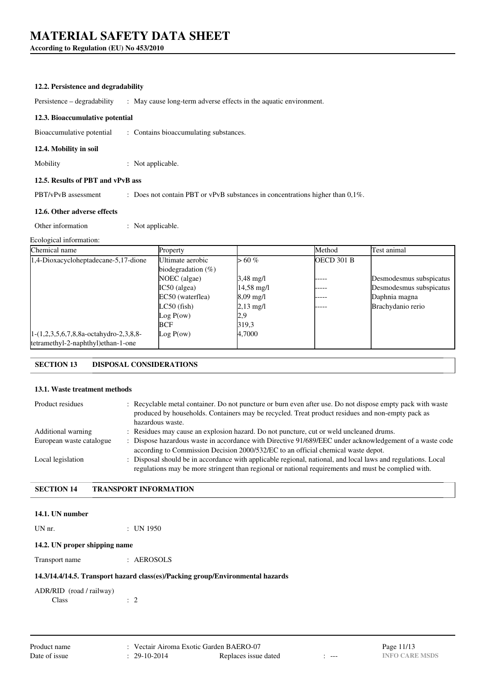**According to Regulation (EU) No 453/2010**

### **12.2. Persistence and degradability**

Persistence – degradability : May cause long-term adverse effects in the aquatic environment.

#### **12.3. Bioaccumulative potential**

Bioaccumulative potential : Contains bioaccumulating substances.

#### **12.4. Mobility in soil**

Mobility : Not applicable.

#### **12.5. Results of PBT and vPvB ass**

PBT/vPvB assessment : Does not contain PBT or vPvB substances in concentrations higher than 0,1%.

#### **12.6. Other adverse effects**

Other information : Not applicable.

#### Ecological information:

| Chemical name                            | Property              |                      | Method     | Test animal             |
|------------------------------------------|-----------------------|----------------------|------------|-------------------------|
| 1,4-Dioxacycloheptadecane-5,17-dione     | Ultimate aerobic      | $> 60 \%$            | OECD 301 B |                         |
|                                          | biodegradation $(\%)$ |                      |            |                         |
|                                          | NOEC (algae)          | $3,48 \text{ mg}/1$  | ----       | Desmodesmus subspicatus |
|                                          | $IC50$ (algea)        | $14,58 \text{ mg}/1$ | -----      | Desmodesmus subspicatus |
|                                          | EC50 (waterflea)      | $8,09 \text{ mg}/1$  | ----       | Daphnia magna           |
|                                          | $LC50$ (fish)         | $2,13 \text{ mg/l}$  |            | Brachydanio rerio       |
|                                          | Log P(ow)             | 2,9                  |            |                         |
|                                          | <b>BCF</b>            | 319,3                |            |                         |
| $1-(1,2,3,5,6,7,8,8a-octahydro-2,3,8,8-$ | Log P(ow)             | 4,7000               |            |                         |
| tetramethyl-2-naphthyl)ethan-1-one       |                       |                      |            |                         |

## **SECTION 13 DISPOSAL CONSIDERATIONS**

## **13.1. Waste treatment methods**

| Product residues         | : Recyclable metal container. Do not puncture or burn even after use. Do not dispose empty pack with waste<br>produced by households. Containers may be recycled. Treat product residues and non-empty pack as<br>hazardous waste. |
|--------------------------|------------------------------------------------------------------------------------------------------------------------------------------------------------------------------------------------------------------------------------|
| Additional warning       | : Residues may cause an explosion hazard. Do not puncture, cut or weld uncleaned drums.                                                                                                                                            |
| European waste catalogue | : Dispose hazardous waste in accordance with Directive 91/689/EEC under acknowledgement of a waste code<br>according to Commission Decision 2000/532/EC to an official chemical waste depot.                                       |
| Local legislation        | : Disposal should be in accordance with applicable regional, national, and local laws and regulations. Local<br>regulations may be more stringent than regional or national requirements and must be complied with.                |

## **SECTION 14 TRANSPORT INFORMATION**

#### **14.1. UN number**

UN nr. : UN 1950

#### **14.2. UN proper shipping name**

Transport name : AEROSOLS

#### **14.3/14.4/14.5. Transport hazard class(es)/Packing group/Environmental hazards**

# ADR/RID (road / railway) Class : 2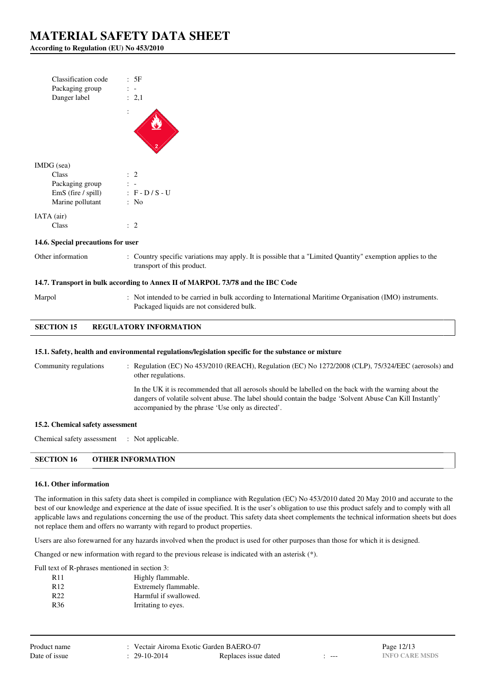**According to Regulation (EU) No 453/2010**

| Classification code<br>Packaging group<br>Danger label | : 5F<br>: 2,1     |
|--------------------------------------------------------|-------------------|
|                                                        |                   |
| IMDG (sea)                                             |                   |
| Class                                                  | $\colon 2$        |
| Packaging group                                        |                   |
| EmS (fire / spill)                                     | $: F - D / S - U$ |
| Marine pollutant                                       | : No              |
| IATA (air)                                             |                   |
| Class                                                  | $\cdot$ 2         |

#### **14.6. Special precautions for user**

Other information : Country specific variations may apply. It is possible that a "Limited Quantity" exemption applies to the transport of this product.

### **14.7. Transport in bulk according to Annex II of MARPOL 73/78 and the IBC Code**

Marpol : Not intended to be carried in bulk according to International Maritime Organisation (IMO) instruments. Packaged liquids are not considered bulk.

## **SECTION 15 REGULATORY INFORMATION**

#### **15.1. Safety, health and environmental regulations/legislation specific for the substance or mixture**

accompanied by the phrase 'Use only as directed'.

Community regulations : Regulation (EC) No 453/2010 (REACH), Regulation (EC) No 1272/2008 (CLP), 75/324/EEC (aerosols) and other regulations. In the UK it is recommended that all aerosols should be labelled on the back with the warning about the dangers of volatile solvent abuse. The label should contain the badge 'Solvent Abuse Can Kill Instantly'

**15.2. Chemical safety assessment**

Chemical safety assessment : Not applicable.

**SECTION 16 OTHER INFORMATION**

#### **16.1. Other information**

The information in this safety data sheet is compiled in compliance with Regulation (EC) No 453/2010 dated 20 May 2010 and accurate to the best of our knowledge and experience at the date of issue specified. It is the user's obligation to use this product safely and to comply with all applicable laws and regulations concerning the use of the product. This safety data sheet complements the technical information sheets but does not replace them and offers no warranty with regard to product properties.

Users are also forewarned for any hazards involved when the product is used for other purposes than those for which it is designed.

Changed or new information with regard to the previous release is indicated with an asterisk (\*).

Full text of R-phrases mentioned in section 3:

| R <sub>11</sub> | Highly flammable.     |
|-----------------|-----------------------|
| R <sub>12</sub> | Extremely flammable.  |
| R22             | Harmful if swallowed. |
| R <sub>36</sub> | Irritating to eyes.   |